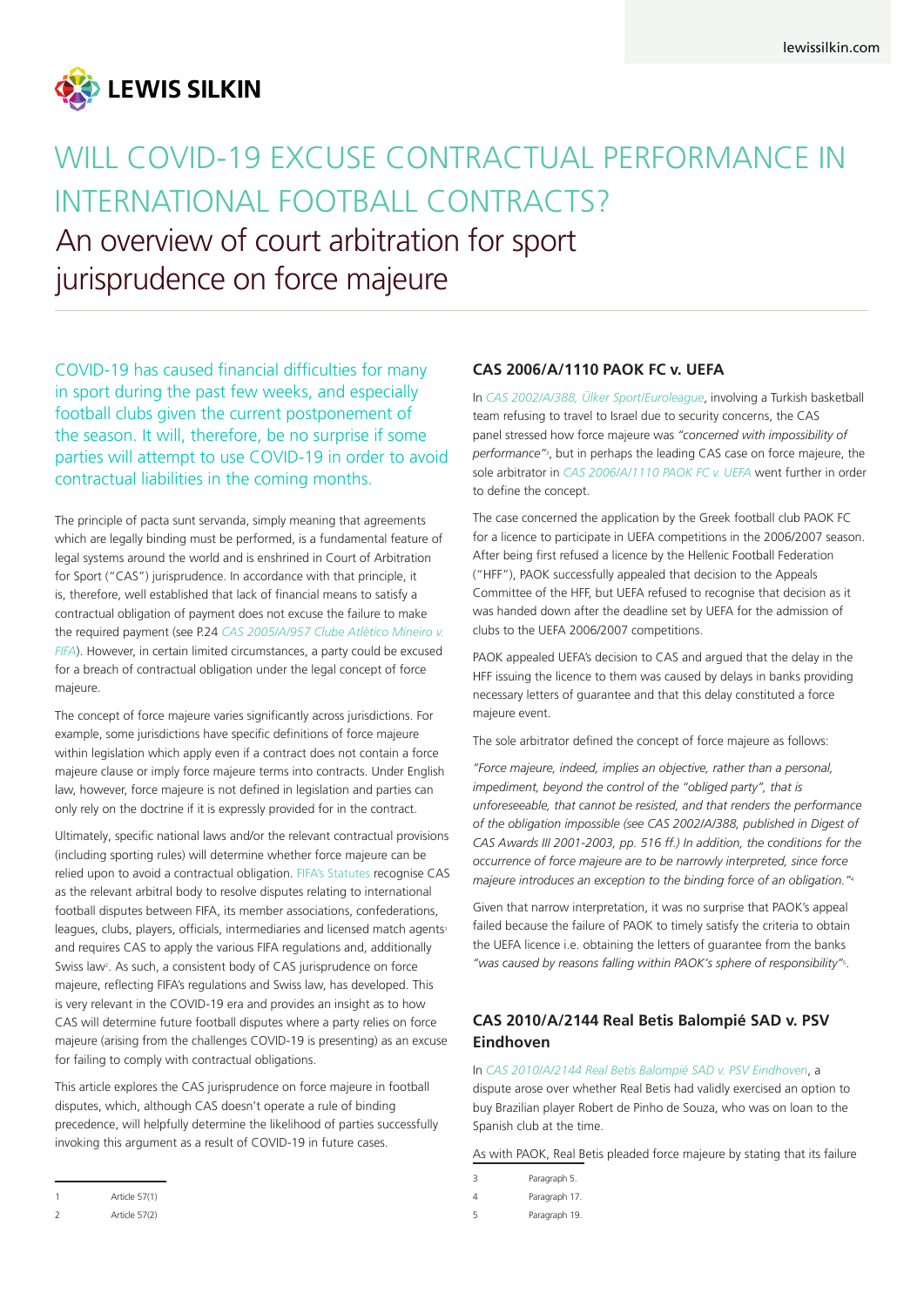

# WILL COVID-19 EXCUSE CONTRACTUAL PERFORMANCE IN INTERNATIONAL FOOTBALL CONTRACTS? An overview of court arbitration for sport jurisprudence on force majeure

COVID-19 has caused financial difficulties for many in sport during the past few weeks, and especially football clubs given the current postponement of the season. It will, therefore, be no surprise if some parties will attempt to use COVID-19 in order to avoid contractual liabilities in the coming months.

The principle of pacta sunt servanda, simply meaning that agreements which are legally binding must be performed, is a fundamental feature of legal systems around the world and is enshrined in Court of Arbitration for Sport ("CAS") jurisprudence. In accordance with that principle, it is, therefore, well established that lack of financial means to satisfy a contractual obligation of payment does not excuse the failure to make the required payment (see P.24 *CAS 2005/A/957 Clube Atlético Mineiro v. FIFA*). However, in certain limited circumstances, a party could be excused for a breach of contractual obligation under the legal concept of force majeure.

The concept of force majeure varies significantly across jurisdictions. For example, some jurisdictions have specific definitions of force majeure within legislation which apply even if a contract does not contain a force majeure clause or imply force majeure terms into contracts. Under English law, however, force majeure is not defined in legislation and parties can only rely on the doctrine if it is expressly provided for in the contract.

Ultimately, specific national laws and/or the relevant contractual provisions (including sporting rules) will determine whether force majeure can be relied upon to avoid a contractual obligation. [FIFA's Statutes r](https://resources.fifa.com/image/upload/fifa-statutes-2019.pdf?cloudid=jhaifzb4i5eong7ju0u5)ecognise CAS as the relevant arbitral body to resolve disputes relating to international football disputes between FIFA, its member associations, confederations, leagues, clubs, players, officials, intermediaries and licensed match agents<sup>1</sup> and requires CAS to apply the various FIFA regulations and, additionally Swiss law<sup>2</sup>. As such, a consistent body of CAS jurisprudence on force majeure, reflecting FIFA's regulations and Swiss law, has developed. This is very relevant in the COVID-19 era and provides an insight as to how CAS will determine future football disputes where a party relies on force majeure (arising from the challenges COVID-19 is presenting) as an excuse for failing to comply with contractual obligations.

This article explores the CAS jurisprudence on force majeure in football disputes, which, although CAS doesn't operate a rule of binding precedence, will helpfully determine the likelihood of parties successfully invoking this argument as a result of COVID-19 in future cases.

#### **CAS 2006/A/1110 PAOK FC v. UEFA**

In *CAS 2002/A/388, Ülker Sport/Euroleague*, involving a Turkish basketball team refusing to travel to Israel due to security concerns, the CAS panel stressed how force majeure was *"concerned with impossibility of performance"*<sup>3</sup> , but in perhaps the leading CAS case on force majeure, the sole arbitrator in *CAS 2006/A/1110 PAOK FC v. UEFA* went further in order to define the concept.

The case concerned the application by the Greek football club PAOK FC for a licence to participate in UEFA competitions in the 2006/2007 season. After being first refused a licence by the Hellenic Football Federation ("HFF"), PAOK successfully appealed that decision to the Appeals Committee of the HFF, but UEFA refused to recognise that decision as it was handed down after the deadline set by UEFA for the admission of clubs to the UEFA 2006/2007 competitions.

PAOK appealed UEFA's decision to CAS and argued that the delay in the HFF issuing the licence to them was caused by delays in banks providing necessary letters of guarantee and that this delay constituted a force majeure event.

The sole arbitrator defined the concept of force majeure as follows:

*"Force majeure, indeed, implies an objective, rather than a personal, impediment, beyond the control of the "obliged party", that is unforeseeable, that cannot be resisted, and that renders the performance of the obligation impossible (see CAS 2002/A/388, published in Digest of CAS Awards III 2001-2003, pp. 516 ff.) In addition, the conditions for the occurrence of force majeure are to be narrowly interpreted, since force majeure introduces an exception to the binding force of an obligation."*<sup>4</sup>

Given that narrow interpretation, it was no surprise that PAOK's appeal failed because the failure of PAOK to timely satisfy the criteria to obtain the UEFA licence i.e. obtaining the letters of guarantee from the banks *"was caused by reasons falling within PAOK's sphere of responsibility"*<sup>5</sup> .

# **CAS 2010/A/2144 Real Betis Balompié SAD v. PSV Eindhoven**

In *CAS 2010/A/2144 Real Betis Balompié SAD v. PSV Eindhoven*, a dispute arose over whether Real Betis had validly exercised an option to buy Brazilian player Robert de Pinho de Souza, who was on loan to the Spanish club at the time.

As with PAOK, Real Betis pleaded force majeure by stating that its failure

- 3 Paragraph 5.
- 4 Paragraph 17.
- 5 Paragraph 19.

<sup>1</sup> Article 57(1)

<sup>2</sup> Article 57(2)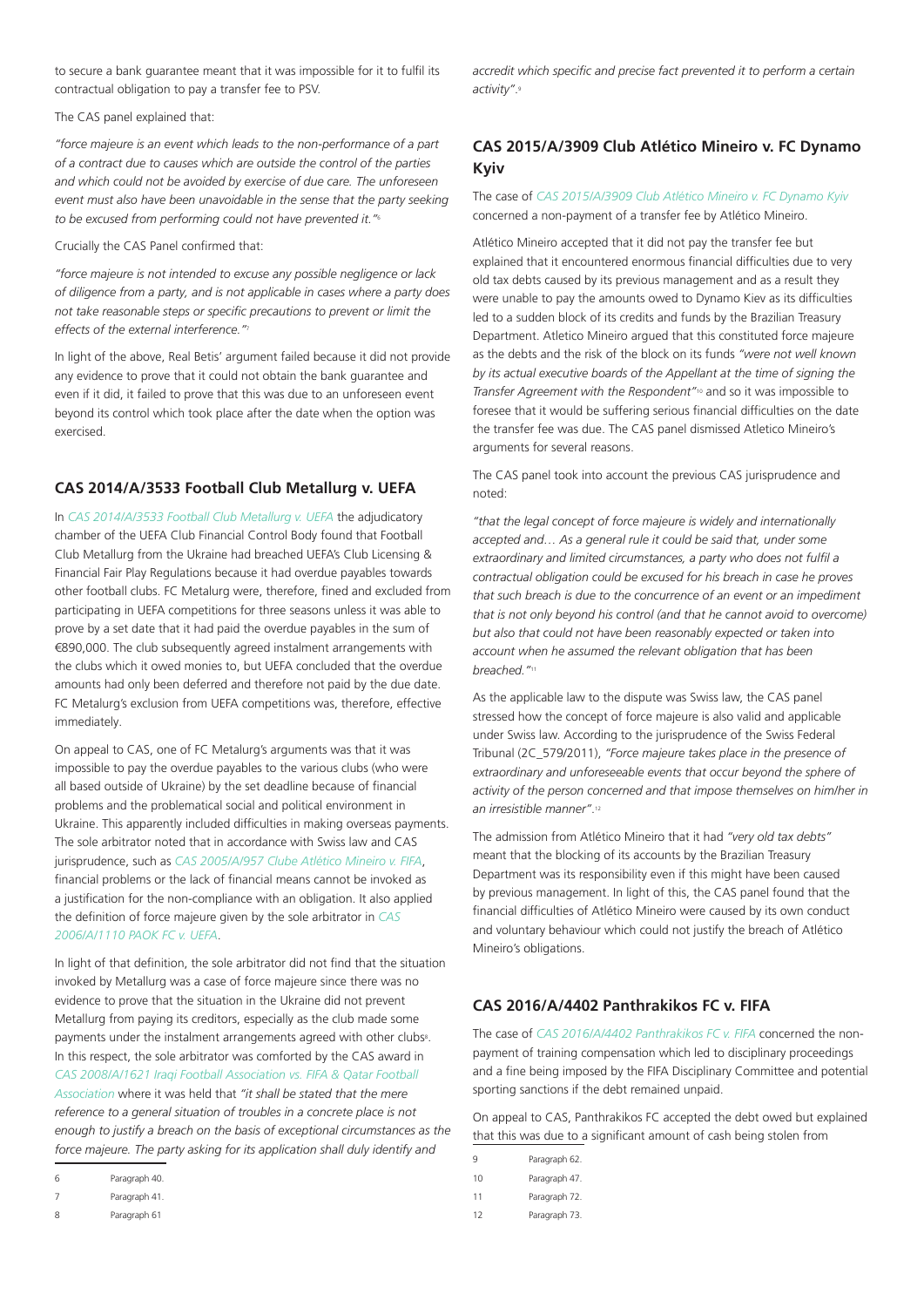to secure a bank guarantee meant that it was impossible for it to fulfil its contractual obligation to pay a transfer fee to PSV.

The CAS panel explained that:

*"force majeure is an event which leads to the non-performance of a part of a contract due to causes which are outside the control of the parties and which could not be avoided by exercise of due care. The unforeseen*  event must also have been unavoidable in the sense that the party seeking *to be excused from performing could not have prevented it."*<sup>6</sup>

Crucially the CAS Panel confirmed that:

*"force majeure is not intended to excuse any possible negligence or lack of diligence from a party, and is not applicable in cases where a party does not take reasonable steps or specific precautions to prevent or limit the effects of the external interference."*<sup>7</sup>

In light of the above, Real Betis' argument failed because it did not provide any evidence to prove that it could not obtain the bank guarantee and even if it did, it failed to prove that this was due to an unforeseen event beyond its control which took place after the date when the option was exercised.

#### **CAS 2014/A/3533 Football Club Metallurg v. UEFA**

In *CAS 2014/A/3533 Football Club Metallurg v. UEFA* the adjudicatory chamber of the UEFA Club Financial Control Body found that Football Club Metallurg from the Ukraine had breached UEFA's Club Licensing & Financial Fair Play Regulations because it had overdue payables towards other football clubs. FC Metalurg were, therefore, fined and excluded from participating in UEFA competitions for three seasons unless it was able to prove by a set date that it had paid the overdue payables in the sum of €890,000. The club subsequently agreed instalment arrangements with the clubs which it owed monies to, but UEFA concluded that the overdue amounts had only been deferred and therefore not paid by the due date. FC Metalurg's exclusion from UEFA competitions was, therefore, effective immediately.

On appeal to CAS, one of FC Metalurg's arguments was that it was impossible to pay the overdue payables to the various clubs (who were all based outside of Ukraine) by the set deadline because of financial problems and the problematical social and political environment in Ukraine. This apparently included difficulties in making overseas payments. The sole arbitrator noted that in accordance with Swiss law and CAS jurisprudence, such as *CAS 2005/A/957 Clube Atlético Mineiro v. FIFA*, financial problems or the lack of financial means cannot be invoked as a justification for the non-compliance with an obligation. It also applied the definition of force majeure given by the sole arbitrator in *CAS 2006/A/1110 PAOK FC v. UEFA*.

In light of that definition, the sole arbitrator did not find that the situation invoked by Metallurg was a case of force majeure since there was no evidence to prove that the situation in the Ukraine did not prevent Metallurg from paying its creditors, especially as the club made some payments under the instalment arrangements agreed with other clubs<sup>8</sup>. In this respect, the sole arbitrator was comforted by the CAS award in *CAS 2008/A/1621 Iraqi Football Association vs. FIFA & Qatar Football Association* where it was held that *"it shall be stated that the mere reference to a general situation of troubles in a concrete place is not enough to justify a breach on the basis of exceptional circumstances as the force majeure. The party asking for its application shall duly identify and* 

8 Paragraph 61

*accredit which specific and precise fact prevented it to perform a certain activity"*.<sup>9</sup>

### **CAS 2015/A/3909 Club Atlético Mineiro v. FC Dynamo Kyiv**

The case of *CAS 2015/A/3909 Club Atlético Mineiro v. FC Dynamo Kyiv* concerned a non-payment of a transfer fee by Atlético Mineiro.

Atlético Mineiro accepted that it did not pay the transfer fee but explained that it encountered enormous financial difficulties due to very old tax debts caused by its previous management and as a result they were unable to pay the amounts owed to Dynamo Kiev as its difficulties led to a sudden block of its credits and funds by the Brazilian Treasury Department. Atletico Mineiro argued that this constituted force majeure as the debts and the risk of the block on its funds *"were not well known by its actual executive boards of the Appellant at the time of signing the Transfer Agreement with the Respondent"*10 and so it was impossible to foresee that it would be suffering serious financial difficulties on the date the transfer fee was due. The CAS panel dismissed Atletico Mineiro's arguments for several reasons.

The CAS panel took into account the previous CAS jurisprudence and noted:

*"that the legal concept of force majeure is widely and internationally accepted and… As a general rule it could be said that, under some extraordinary and limited circumstances, a party who does not fulfil a contractual obligation could be excused for his breach in case he proves that such breach is due to the concurrence of an event or an impediment that is not only beyond his control (and that he cannot avoid to overcome) but also that could not have been reasonably expected or taken into account when he assumed the relevant obligation that has been breached."*<sup>11</sup>

As the applicable law to the dispute was Swiss law, the CAS panel stressed how the concept of force majeure is also valid and applicable under Swiss law. According to the jurisprudence of the Swiss Federal Tribunal (2C\_579/2011), *"Force majeure takes place in the presence of extraordinary and unforeseeable events that occur beyond the sphere of activity of the person concerned and that impose themselves on him/her in an irresistible manner"*.<sup>12</sup>

The admission from Atlético Mineiro that it had *"very old tax debts"* meant that the blocking of its accounts by the Brazilian Treasury Department was its responsibility even if this might have been caused by previous management. In light of this, the CAS panel found that the financial difficulties of Atlético Mineiro were caused by its own conduct and voluntary behaviour which could not justify the breach of Atlético Mineiro's obligations.

#### **CAS 2016/A/4402 Panthrakikos FC v. FIFA**

The case of *CAS 2016/A/4402 Panthrakikos FC v. FIFA* concerned the nonpayment of training compensation which led to disciplinary proceedings and a fine being imposed by the FIFA Disciplinary Committee and potential sporting sanctions if the debt remained unpaid.

On appeal to CAS, Panthrakikos FC accepted the debt owed but explained that this was due to a significant amount of cash being stolen from

| 9  | Paragraph 62. |
|----|---------------|
| 10 | Paragraph 47. |
| 11 | Paragraph 72. |

12 Paragraph 73.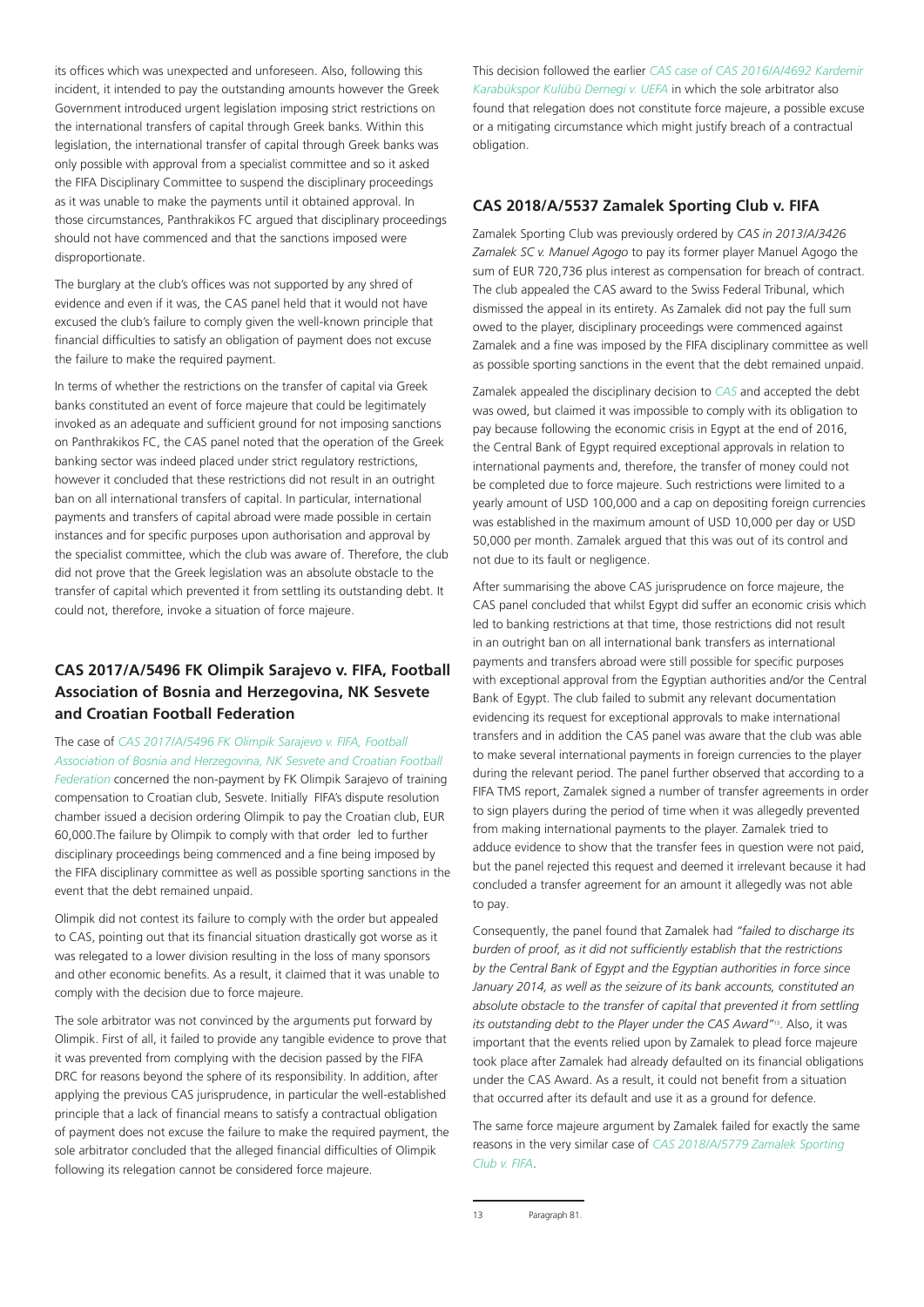its offices which was unexpected and unforeseen. Also, following this incident, it intended to pay the outstanding amounts however the Greek Government introduced urgent legislation imposing strict restrictions on the international transfers of capital through Greek banks. Within this legislation, the international transfer of capital through Greek banks was only possible with approval from a specialist committee and so it asked the FIFA Disciplinary Committee to suspend the disciplinary proceedings as it was unable to make the payments until it obtained approval. In those circumstances, Panthrakikos FC argued that disciplinary proceedings should not have commenced and that the sanctions imposed were disproportionate.

The burglary at the club's offices was not supported by any shred of evidence and even if it was, the CAS panel held that it would not have excused the club's failure to comply given the well-known principle that financial difficulties to satisfy an obligation of payment does not excuse the failure to make the required payment.

In terms of whether the restrictions on the transfer of capital via Greek banks constituted an event of force majeure that could be legitimately invoked as an adequate and sufficient ground for not imposing sanctions on Panthrakikos FC, the CAS panel noted that the operation of the Greek banking sector was indeed placed under strict regulatory restrictions, however it concluded that these restrictions did not result in an outright ban on all international transfers of capital. In particular, international payments and transfers of capital abroad were made possible in certain instances and for specific purposes upon authorisation and approval by the specialist committee, which the club was aware of. Therefore, the club did not prove that the Greek legislation was an absolute obstacle to the transfer of capital which prevented it from settling its outstanding debt. It could not, therefore, invoke a situation of force majeure.

# **CAS 2017/A/5496 FK Olimpik Sarajevo v. FIFA, Football Association of Bosnia and Herzegovina, NK Sesvete and Croatian Football Federation**

The case of *CAS 2017/A/5496 FK Olimpik Sarajevo v. FIFA, Football Association of Bosnia and Herzegovina, NK Sesvete and Croatian Football Federation* concerned the non-payment by FK Olimpik Sarajevo of training compensation to Croatian club, Sesvete. Initially FIFA's dispute resolution chamber issued a decision ordering Olimpik to pay the Croatian club, EUR 60,000.The failure by Olimpik to comply with that order led to further disciplinary proceedings being commenced and a fine being imposed by the FIFA disciplinary committee as well as possible sporting sanctions in the event that the debt remained unpaid.

Olimpik did not contest its failure to comply with the order but appealed to CAS, pointing out that its financial situation drastically got worse as it was relegated to a lower division resulting in the loss of many sponsors and other economic benefits. As a result, it claimed that it was unable to comply with the decision due to force majeure.

The sole arbitrator was not convinced by the arguments put forward by Olimpik. First of all, it failed to provide any tangible evidence to prove that it was prevented from complying with the decision passed by the FIFA DRC for reasons beyond the sphere of its responsibility. In addition, after applying the previous CAS jurisprudence, in particular the well-established principle that a lack of financial means to satisfy a contractual obligation of payment does not excuse the failure to make the required payment, the sole arbitrator concluded that the alleged financial difficulties of Olimpik following its relegation cannot be considered force majeure.

This decision followed the earlier *CAS case of CAS 2016/A/4692 Kardemir Karabükspor Kulübü Dernegi v. UEFA* in which the sole arbitrator also found that relegation does not constitute force majeure, a possible excuse or a mitigating circumstance which might justify breach of a contractual obligation.

#### **CAS 2018/A/5537 Zamalek Sporting Club v. FIFA**

Zamalek Sporting Club was previously ordered by *CAS in 2013/A/3426 Zamalek SC v. Manuel Agogo* to pay its former player Manuel Agogo the sum of EUR 720,736 plus interest as compensation for breach of contract. The club appealed the CAS award to the Swiss Federal Tribunal, which dismissed the appeal in its entirety. As Zamalek did not pay the full sum owed to the player, disciplinary proceedings were commenced against Zamalek and a fine was imposed by the FIFA disciplinary committee as well as possible sporting sanctions in the event that the debt remained unpaid.

Zamalek appealed the disciplinary decision to *CAS* and accepted the debt was owed, but claimed it was impossible to comply with its obligation to pay because following the economic crisis in Egypt at the end of 2016, the Central Bank of Egypt required exceptional approvals in relation to international payments and, therefore, the transfer of money could not be completed due to force majeure. Such restrictions were limited to a yearly amount of USD 100,000 and a cap on depositing foreign currencies was established in the maximum amount of USD 10,000 per day or USD 50,000 per month. Zamalek argued that this was out of its control and not due to its fault or negligence.

After summarising the above CAS jurisprudence on force majeure, the CAS panel concluded that whilst Egypt did suffer an economic crisis which led to banking restrictions at that time, those restrictions did not result in an outright ban on all international bank transfers as international payments and transfers abroad were still possible for specific purposes with exceptional approval from the Egyptian authorities and/or the Central Bank of Egypt. The club failed to submit any relevant documentation evidencing its request for exceptional approvals to make international transfers and in addition the CAS panel was aware that the club was able to make several international payments in foreign currencies to the player during the relevant period. The panel further observed that according to a FIFA TMS report, Zamalek signed a number of transfer agreements in order to sign players during the period of time when it was allegedly prevented from making international payments to the player. Zamalek tried to adduce evidence to show that the transfer fees in question were not paid, but the panel rejected this request and deemed it irrelevant because it had concluded a transfer agreement for an amount it allegedly was not able to pay.

Consequently, the panel found that Zamalek had *"failed to discharge its burden of proof, as it did not sufficiently establish that the restrictions by the Central Bank of Egypt and the Egyptian authorities in force since January 2014, as well as the seizure of its bank accounts, constituted an absolute obstacle to the transfer of capital that prevented it from settling its outstanding debt to the Player under the CAS Award"*13. Also, it was important that the events relied upon by Zamalek to plead force majeure took place after Zamalek had already defaulted on its financial obligations under the CAS Award. As a result, it could not benefit from a situation that occurred after its default and use it as a ground for defence.

The same force majeure argument by Zamalek failed for exactly the same reasons in the very similar case of *CAS 2018/A/5779 Zamalek Sporting Club v. FIFA*.

<sup>13</sup> Paragraph 81.